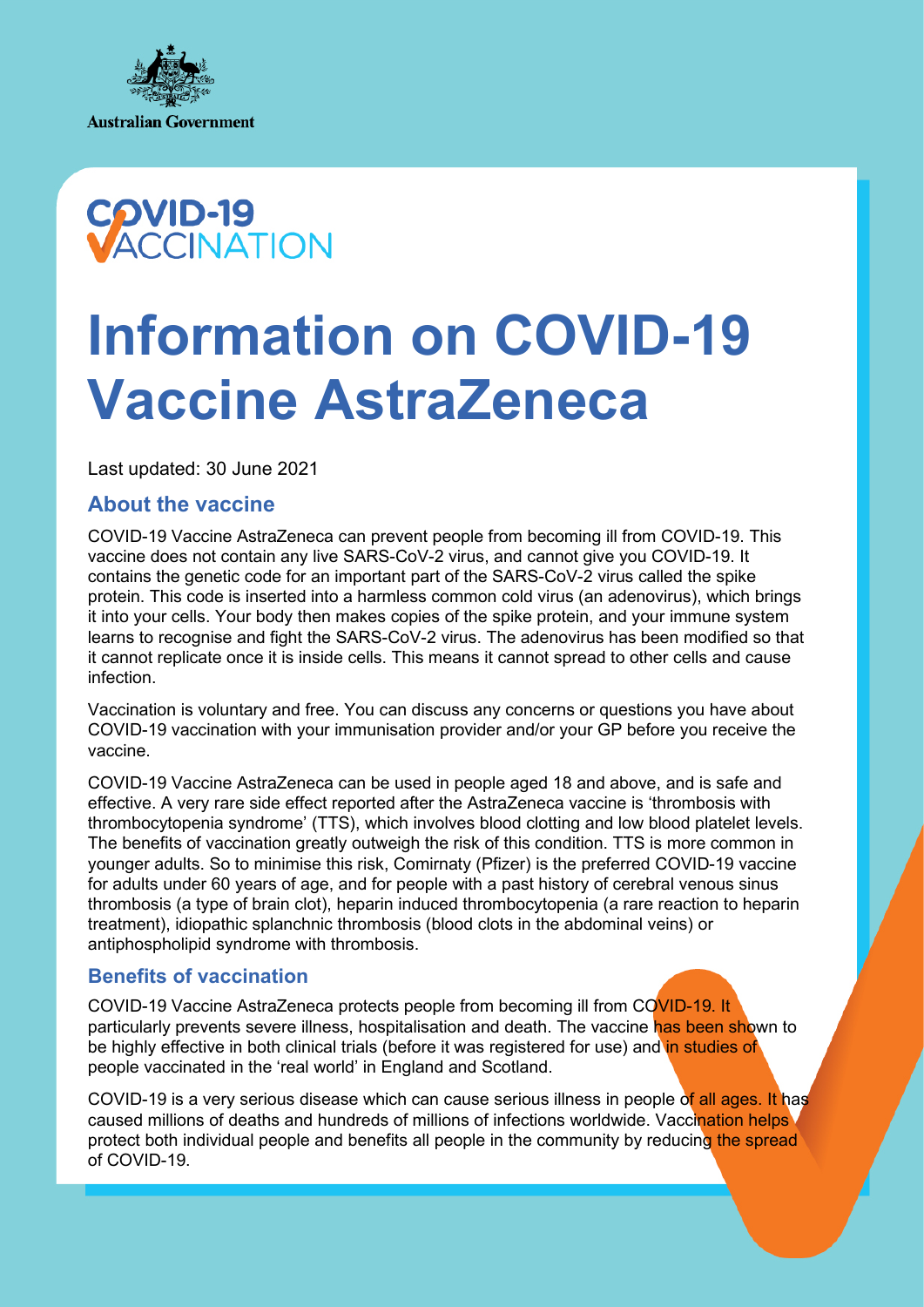



# **Information on COVID-19 Vaccine AstraZeneca**

Last updated: 30 June 2021

# **About the vaccine**

COVID-19 Vaccine AstraZeneca can prevent people from becoming ill from COVID-19. This vaccine does not contain any live SARS-CoV-2 virus, and cannot give you COVID-19. It contains the genetic code for an important part of the SARS-CoV-2 virus called the spike protein. This code is inserted into a harmless common cold virus (an adenovirus), which brings it into your cells. Your body then makes copies of the spike protein, and your immune system learns to recognise and fight the SARS-CoV-2 virus. The adenovirus has been modified so that it cannot replicate once it is inside cells. This means it cannot spread to other cells and cause infection.

Vaccination is voluntary and free. You can discuss any concerns or questions you have about COVID-19 vaccination with your immunisation provider and/or your GP before you receive the vaccine.

COVID-19 Vaccine AstraZeneca can be used in people aged 18 and above, and is safe and effective. A very rare side effect reported after the AstraZeneca vaccine is 'thrombosis with thrombocytopenia syndrome' (TTS), which involves blood clotting and low blood platelet levels. The benefits of vaccination greatly outweigh the risk of this condition. TTS is more common in younger adults. So to minimise this risk, Comirnaty (Pfizer) is the preferred COVID-19 vaccine for adults under 60 years of age, and for people with a past history of cerebral venous sinus thrombosis (a type of brain clot), heparin induced thrombocytopenia (a rare reaction to heparin treatment), idiopathic splanchnic thrombosis (blood clots in the abdominal veins) or antiphospholipid syndrome with thrombosis.

## **Benefits of vaccination**

COVID-19 Vaccine AstraZeneca protects people from becoming ill from COVID-19. It particularly prevents severe illness, hospitalisation and death. The vaccine has been shown to be highly effective in both clinical trials (before it was registered for use) and in studies of people vaccinated in the 'real world' in England and Scotland.

COVID-19 is a very serious disease which can cause serious illness in people of all ages. It has caused millions of deaths and hundreds of millions of infections worldwide. Vaccination helps's protect both individual people and benefits all people in the community by reducing the spread of COVID-19.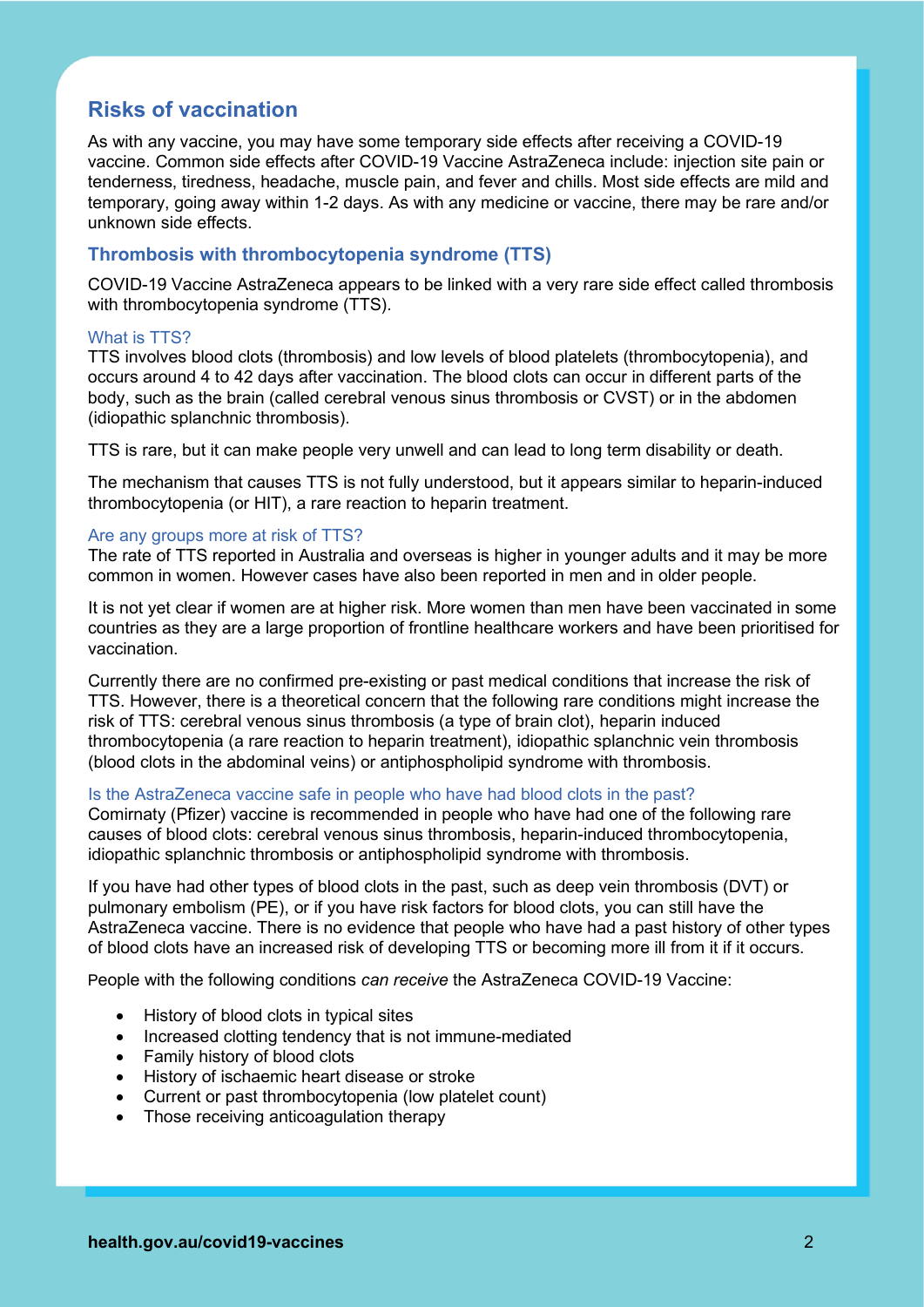# **Risks of vaccination**

As with any vaccine, you may have some temporary side effects after receiving a COVID-19 vaccine. Common side effects after COVID-19 Vaccine AstraZeneca include: injection site pain or tenderness, tiredness, headache, muscle pain, and fever and chills. Most side effects are mild and temporary, going away within 1-2 days. As with any medicine or vaccine, there may be rare and/or unknown side effects.

#### **Thrombosis with thrombocytopenia syndrome (TTS)**

COVID-19 Vaccine AstraZeneca appears to be linked with a very rare side effect called thrombosis with thrombocytopenia syndrome (TTS).

#### What is TTS?

TTS involves blood clots (thrombosis) and low levels of blood platelets (thrombocytopenia), and occurs around 4 to 42 days after vaccination. The blood clots can occur in different parts of the body, such as the brain (called cerebral venous sinus thrombosis or CVST) or in the abdomen (idiopathic splanchnic thrombosis).

TTS is rare, but it can make people very unwell and can lead to long term disability or death.

The mechanism that causes TTS is not fully understood, but it appears similar to heparin-induced thrombocytopenia (or HIT), a rare reaction to heparin treatment.

#### Are any groups more at risk of TTS?

The rate of TTS reported in Australia and overseas is higher in younger adults and it may be more common in women. However cases have also been reported in men and in older people.

It is not yet clear if women are at higher risk. More women than men have been vaccinated in some countries as they are a large proportion of frontline healthcare workers and have been prioritised for vaccination.

Currently there are no confirmed pre-existing or past medical conditions that increase the risk of TTS. However, there is a theoretical concern that the following rare conditions might increase the risk of TTS: cerebral venous sinus thrombosis (a type of brain clot), heparin induced thrombocytopenia (a rare reaction to heparin treatment), idiopathic splanchnic vein thrombosis (blood clots in the abdominal veins) or antiphospholipid syndrome with thrombosis.

#### Is the AstraZeneca vaccine safe in people who have had blood clots in the past?

Comirnaty (Pfizer) vaccine is recommended in people who have had one of the following rare causes of blood clots: cerebral venous sinus thrombosis, heparin-induced thrombocytopenia, idiopathic splanchnic thrombosis or antiphospholipid syndrome with thrombosis.

If you have had other types of blood clots in the past, such as deep vein thrombosis (DVT) or pulmonary embolism (PE), or if you have risk factors for blood clots, you can still have the AstraZeneca vaccine. There is no evidence that people who have had a past history of other types of blood clots have an increased risk of developing TTS or becoming more ill from it if it occurs.

People with the following conditions *can receive* the AstraZeneca COVID-19 Vaccine:

- History of blood clots in typical sites
- Increased clotting tendency that is not immune-mediated
- Family history of blood clots
- History of ischaemic heart disease or stroke
- Current or past thrombocytopenia (low platelet count)
- Those receiving anticoagulation therapy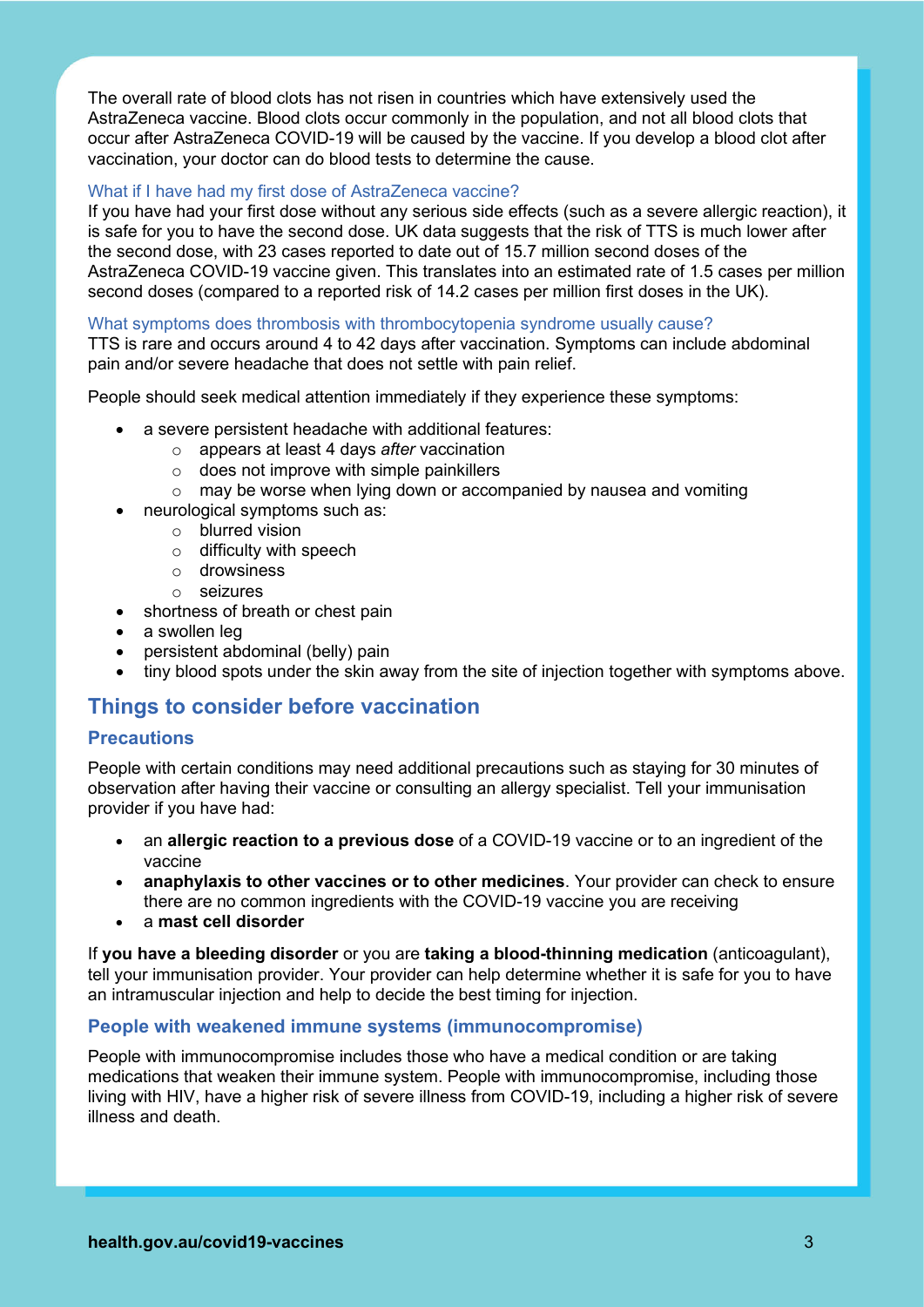The overall rate of blood clots has not risen in countries which have extensively used the AstraZeneca vaccine. Blood clots occur commonly in the population, and not all blood clots that occur after AstraZeneca COVID-19 will be caused by the vaccine. If you develop a blood clot after vaccination, your doctor can do blood tests to determine the cause.

#### What if I have had my first dose of AstraZeneca vaccine?

If you have had your first dose without any serious side effects (such as a severe allergic reaction), it is safe for you to have the second dose. UK data suggests that the risk of TTS is much lower after the second dose, with 23 cases reported to date out of 15.7 million second doses of the AstraZeneca COVID-19 vaccine given. This translates into an estimated rate of 1.5 cases per million second doses (compared to a reported risk of 14.2 cases per million first doses in the UK).

#### What symptoms does thrombosis with thrombocytopenia syndrome usually cause?

TTS is rare and occurs around 4 to 42 days after vaccination. Symptoms can include abdominal pain and/or severe headache that does not settle with pain relief.

People should seek medical attention immediately if they experience these symptoms:

- a severe persistent headache with additional features:
	- o appears at least 4 days *after* vaccination
	- $\circ$  does not improve with simple painkillers
	- $\circ$  may be worse when lying down or accompanied by nausea and vomiting
- neurological symptoms such as:
	- o blurred vision
	- $\circ$  difficulty with speech
	- o drowsiness
	- o seizures
- shortness of breath or chest pain
- a swollen leg
- persistent abdominal (belly) pain
- tiny blood spots under the skin away from the site of injection together with symptoms above.

## **Things to consider before vaccination**

#### **Precautions**

People with certain conditions may need additional precautions such as staying for 30 minutes of observation after having their vaccine or consulting an allergy specialist. Tell your immunisation provider if you have had:

- an **allergic reaction to a previous dose** of a COVID-19 vaccine or to an ingredient of the vaccine
- **anaphylaxis to other vaccines or to other medicines**. Your provider can check to ensure there are no common ingredients with the COVID-19 vaccine you are receiving
- a **mast cell disorder**

If **you have a bleeding disorder** or you are **taking a blood-thinning medication** (anticoagulant), tell your immunisation provider. Your provider can help determine whether it is safe for you to have an intramuscular injection and help to decide the best timing for injection.

#### **People with weakened immune systems (immunocompromise)**

People with immunocompromise includes those who have a medical condition or are taking medications that weaken their immune system. People with immunocompromise, including those living with HIV, have a higher risk of severe illness from COVID-19, including a higher risk of severe illness and death.